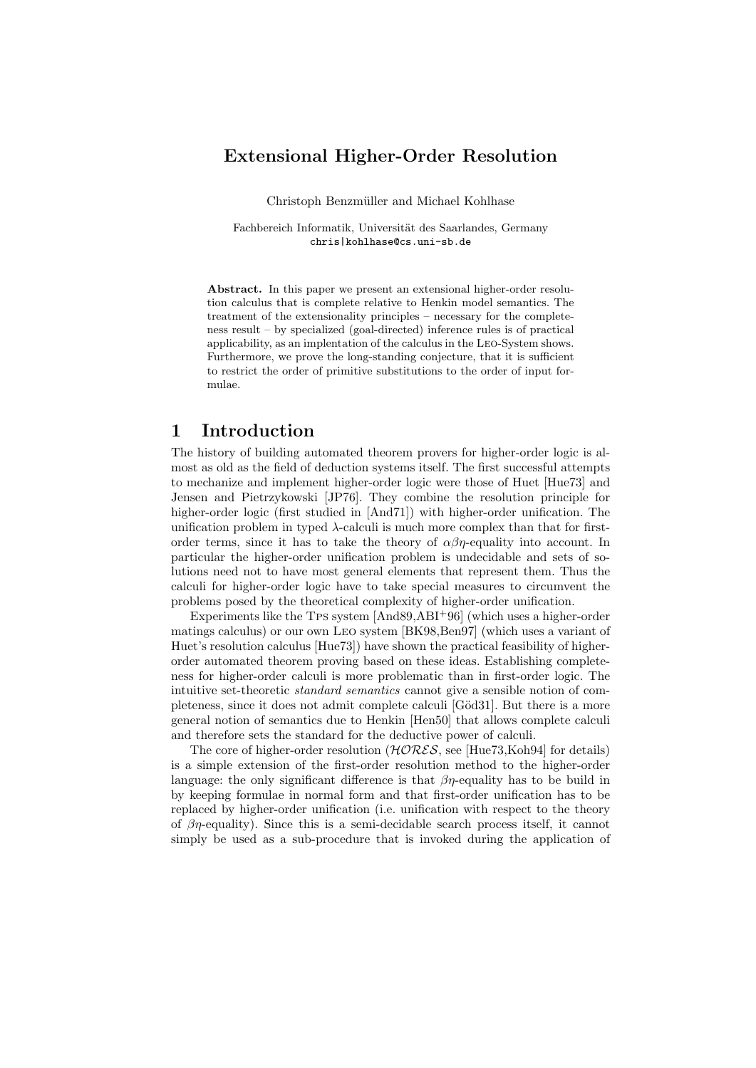# Extensional Higher-Order Resolution

Christoph Benzmüller and Michael Kohlhase

Fachbereich Informatik, Universität des Saarlandes, Germany chris|kohlhase@cs.uni-sb.de

Abstract. In this paper we present an extensional higher-order resolution calculus that is complete relative to Henkin model semantics. The treatment of the extensionality principles – necessary for the completeness result – by specialized (goal-directed) inference rules is of practical applicability, as an implentation of the calculus in the Leo-System shows. Furthermore, we prove the long-standing conjecture, that it is sufficient to restrict the order of primitive substitutions to the order of input formulae.

# 1 Introduction

The history of building automated theorem provers for higher-order logic is almost as old as the field of deduction systems itself. The first successful attempts to mechanize and implement higher-order logic were those of Huet [Hue73] and Jensen and Pietrzykowski [JP76]. They combine the resolution principle for higher-order logic (first studied in [And71]) with higher-order unification. The unification problem in typed  $\lambda$ -calculi is much more complex than that for firstorder terms, since it has to take the theory of  $\alpha\beta\eta$ -equality into account. In particular the higher-order unification problem is undecidable and sets of solutions need not to have most general elements that represent them. Thus the calculi for higher-order logic have to take special measures to circumvent the problems posed by the theoretical complexity of higher-order unification.

Experiments like the TPS system  $[And89, ABI<sup>+</sup>96]$  (which uses a higher-order matings calculus) or our own Leo system [BK98,Ben97] (which uses a variant of Huet's resolution calculus [Hue73]) have shown the practical feasibility of higherorder automated theorem proving based on these ideas. Establishing completeness for higher-order calculi is more problematic than in first-order logic. The intuitive set-theoretic standard semantics cannot give a sensible notion of completeness, since it does not admit complete calculi [G¨od31]. But there is a more general notion of semantics due to Henkin [Hen50] that allows complete calculi and therefore sets the standard for the deductive power of calculi.

The core of higher-order resolution ( $\mathcal{HORES}$ , see [Hue73,Koh94] for details) is a simple extension of the first-order resolution method to the higher-order language: the only significant difference is that  $\beta\eta$ -equality has to be build in by keeping formulae in normal form and that first-order unification has to be replaced by higher-order unification (i.e. unification with respect to the theory of  $\beta$ *n*-equality). Since this is a semi-decidable search process itself, it cannot simply be used as a sub-procedure that is invoked during the application of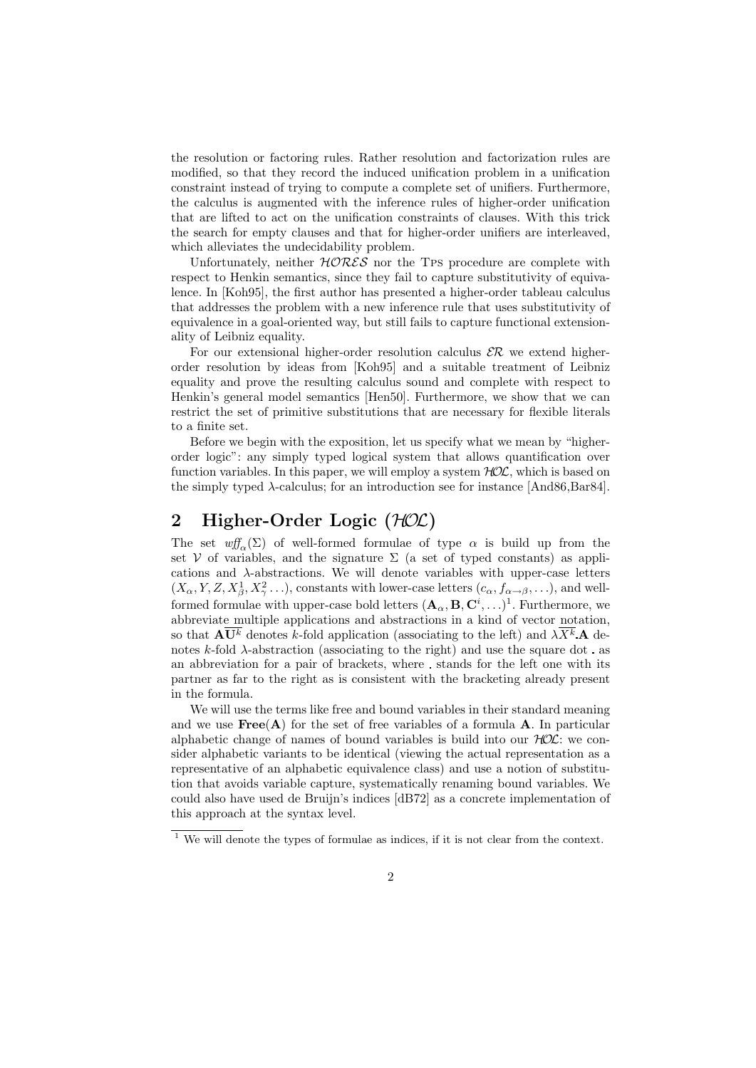the resolution or factoring rules. Rather resolution and factorization rules are modified, so that they record the induced unification problem in a unification constraint instead of trying to compute a complete set of unifiers. Furthermore, the calculus is augmented with the inference rules of higher-order unification that are lifted to act on the unification constraints of clauses. With this trick the search for empty clauses and that for higher-order unifiers are interleaved, which alleviates the undecidability problem.

Unfortunately, neither  $HORES$  nor the TPS procedure are complete with respect to Henkin semantics, since they fail to capture substitutivity of equivalence. In [Koh95], the first author has presented a higher-order tableau calculus that addresses the problem with a new inference rule that uses substitutivity of equivalence in a goal-oriented way, but still fails to capture functional extensionality of Leibniz equality.

For our extensional higher-order resolution calculus  $\mathcal{ER}$  we extend higherorder resolution by ideas from [Koh95] and a suitable treatment of Leibniz equality and prove the resulting calculus sound and complete with respect to Henkin's general model semantics [Hen50]. Furthermore, we show that we can restrict the set of primitive substitutions that are necessary for flexible literals to a finite set.

Before we begin with the exposition, let us specify what we mean by "higherorder logic": any simply typed logical system that allows quantification over function variables. In this paper, we will employ a system  $HOL$ , which is based on the simply typed  $\lambda$ -calculus; for an introduction see for instance [And86,Bar84].

# 2 Higher-Order Logic  $(HOL)$

The set  $\omega f_{\alpha}(\Sigma)$  of well-formed formulae of type  $\alpha$  is build up from the set  $V$  of variables, and the signature  $\Sigma$  (a set of typed constants) as applications and  $\lambda$ -abstractions. We will denote variables with upper-case letters  $(X_\alpha, Y, Z, X_\beta^1, X_\gamma^2 \ldots)$ , constants with lower-case letters  $(c_\alpha, f_{\alpha \to \beta}, \ldots)$ , and wellformed formulae with upper-case bold letters  $(\mathbf{A}_{\alpha}, \mathbf{B}, \mathbf{C}^i, \ldots)^1$ . Furthermore, we abbreviate multiple applications and abstractions in a kind of vector notation, so that  $\mathbf{A} \overline{\mathbf{U}^k}$  denotes k-fold application (associating to the left) and  $\lambda \overline{X^k} \mathbf{A}$  denotes k-fold  $\lambda$ -abstraction (associating to the right) and use the square dot as an abbreviation for a pair of brackets, where stands for the left one with its partner as far to the right as is consistent with the bracketing already present in the formula.

We will use the terms like free and bound variables in their standard meaning and we use  $Free(A)$  for the set of free variables of a formula A. In particular alphabetic change of names of bound variables is build into our  $HOL$ : we consider alphabetic variants to be identical (viewing the actual representation as a representative of an alphabetic equivalence class) and use a notion of substitution that avoids variable capture, systematically renaming bound variables. We could also have used de Bruijn's indices [dB72] as a concrete implementation of this approach at the syntax level.

 $\frac{1}{1}$  We will denote the types of formulae as indices, if it is not clear from the context.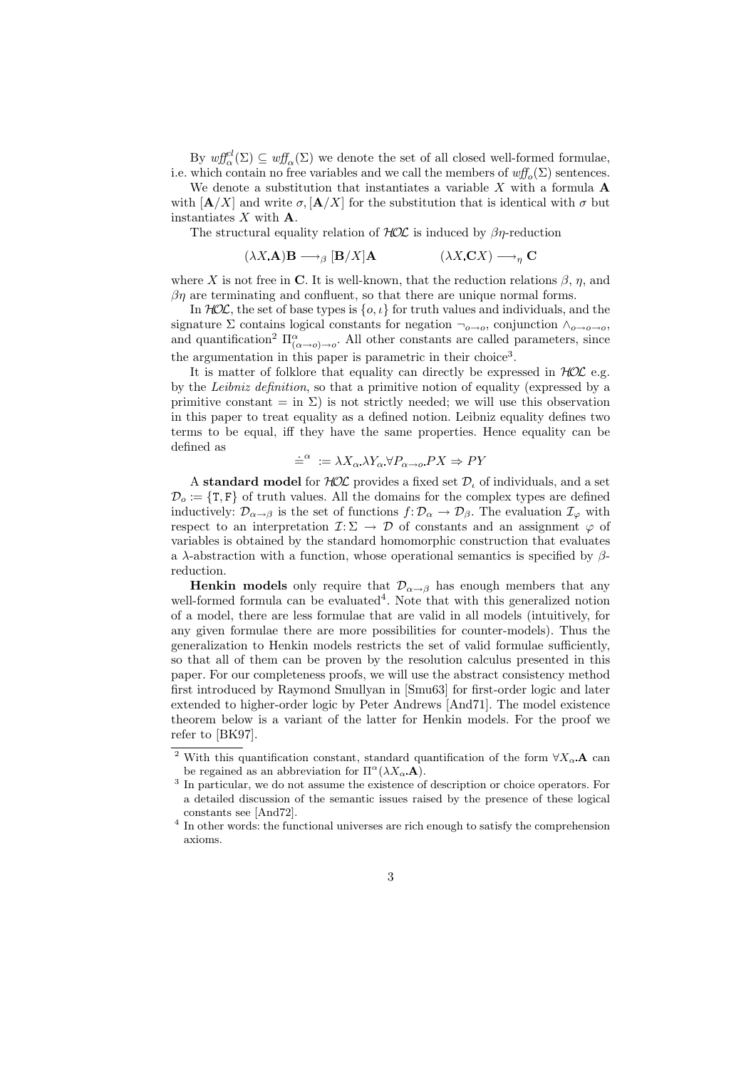By  $\mathit{wff}_{\alpha}^{cl}(\Sigma) \subseteq \mathit{wff}_{\alpha}(\Sigma)$  we denote the set of all closed well-formed formulae, i.e. which contain no free variables and we call the members of  $\mathit{wf}_{o}(\Sigma)$  sentences.

We denote a substitution that instantiates a variable  $X$  with a formula  $A$ with  $[A/X]$  and write  $\sigma$ ,  $[A/X]$  for the substitution that is identical with  $\sigma$  but instantiates  $X$  with  $A$ .

The structural equality relation of  $HOL$  is induced by  $\beta\eta$ -reduction

$$
(\lambda X \mathbf{A}) \mathbf{B} \longrightarrow_{\beta} [\mathbf{B}/X] \mathbf{A} \qquad (\lambda X \mathbf{C} X) \longrightarrow_{\eta} \mathbf{C}
$$

where X is not free in C. It is well-known, that the reduction relations  $\beta$ ,  $\eta$ , and  $\beta$ η are terminating and confluent, so that there are unique normal forms.

In  $HOL$ , the set of base types is  $\{o, \iota\}$  for truth values and individuals, and the signature  $\Sigma$  contains logical constants for negation  $\neg_{o\rightarrow o}$ , conjunction  $\wedge_{o\rightarrow o\rightarrow o}$ , and quantification<sup>2</sup>  $\Pi^{\alpha}_{(\alpha\to o)\to o}$ . All other constants are called parameters, since the argumentation in this paper is parametric in their choice<sup>3</sup>.

It is matter of folklore that equality can directly be expressed in  $HOL$  e.g. by the Leibniz definition, so that a primitive notion of equality (expressed by a primitive constant  $=$  in  $\Sigma$ ) is not strictly needed; we will use this observation in this paper to treat equality as a defined notion. Leibniz equality defines two terms to be equal, iff they have the same properties. Hence equality can be defined as

$$
\doteq^{\alpha} \; := \lambda X_{\alpha} \lambda Y_{\alpha} \forall P_{\alpha \to \alpha} PX \Rightarrow PY
$$

A standard model for  $HOL$  provides a fixed set  $D_{\iota}$  of individuals, and a set  $\mathcal{D}_{o} := \{T, F\}$  of truth values. All the domains for the complex types are defined inductively:  $\mathcal{D}_{\alpha \to \beta}$  is the set of functions  $f: \mathcal{D}_{\alpha} \to \mathcal{D}_{\beta}$ . The evaluation  $\mathcal{I}_{\varphi}$  with respect to an interpretation  $\mathcal{I}: \Sigma \to \mathcal{D}$  of constants and an assignment  $\varphi$  of variables is obtained by the standard homomorphic construction that evaluates a  $\lambda$ -abstraction with a function, whose operational semantics is specified by  $\beta$ reduction.

**Henkin models** only require that  $\mathcal{D}_{\alpha \to \beta}$  has enough members that any well-formed formula can be evaluated<sup>4</sup>. Note that with this generalized notion of a model, there are less formulae that are valid in all models (intuitively, for any given formulae there are more possibilities for counter-models). Thus the generalization to Henkin models restricts the set of valid formulae sufficiently, so that all of them can be proven by the resolution calculus presented in this paper. For our completeness proofs, we will use the abstract consistency method first introduced by Raymond Smullyan in [Smu63] for first-order logic and later extended to higher-order logic by Peter Andrews [And71]. The model existence theorem below is a variant of the latter for Henkin models. For the proof we refer to [BK97].

<sup>&</sup>lt;sup>2</sup> With this quantification constant, standard quantification of the form  $\forall X_{\alpha} \mathbf{A}$  can be regained as an abbreviation for  $\Pi^{\alpha}(\lambda X_{\alpha} \mathbf{A}).$ 

<sup>&</sup>lt;sup>3</sup> In particular, we do not assume the existence of description or choice operators. For a detailed discussion of the semantic issues raised by the presence of these logical constants see [And72].

<sup>&</sup>lt;sup>4</sup> In other words: the functional universes are rich enough to satisfy the comprehension axioms.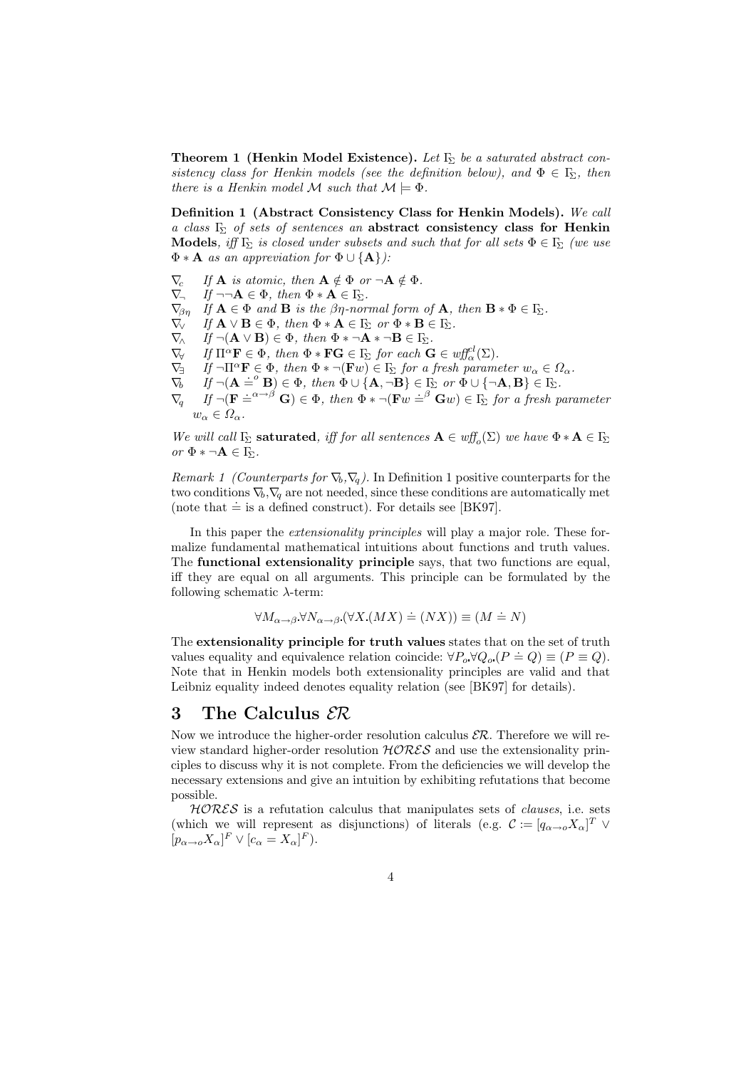Theorem 1 (Henkin Model Existence). Let  $\Gamma_{\!\Sigma}$  be a saturated abstract consistency class for Henkin models (see the definition below), and  $\Phi \in \Gamma_{\!\Sigma}$ , then there is a Henkin model M such that  $\mathcal{M} \models \Phi$ .

Definition 1 (Abstract Consistency Class for Henkin Models). We call a class Γ<sup>Σ</sup> of sets of sentences an abstract consistency class for Henkin **Models**, iff  $\Gamma_{\Sigma}$  is closed under subsets and such that for all sets  $\Phi \in \Gamma_{\Sigma}$  (we use  $\Phi * A$  as an appreviation for  $\Phi \cup \{A\}$ :

- $\nabla_c$  If **A** is atomic, then  $\mathbf{A} \notin \Phi$  or  $\neg \mathbf{A} \notin \Phi$ .
- $\nabla$ , If  $\neg\neg \mathbf{A} \in \Phi$ , then  $\Phi * \mathbf{A} \in \mathbb{F}_{\Sigma}$ .
- $\nabla_{\beta n}$  If  $\mathbf{A} \in \Phi$  and  $\mathbf{B}$  is the  $\beta \eta$ -normal form of  $\mathbf{A}$ , then  $\mathbf{B} * \Phi \in \Gamma_{\Sigma}$ .
- $\nabla_{\!\mathsf{V}}$  If  $\mathbf{A} \vee \mathbf{B} \in \Phi$ , then  $\Phi * \mathbf{A} \in \Gamma_{\!\Sigma}$  or  $\Phi * \mathbf{B} \in \Gamma_{\!\Sigma}$ .
- $\nabla_{\!\wedge}$  If  $\neg(\mathbf{A} \vee \mathbf{B}) \in \Phi$ , then  $\Phi * \neg \mathbf{A} * \neg \mathbf{B} \in \Gamma_{\!\Sigma}$ .
- $\nabla_{\forall}$  If  $\Pi^{\alpha} \mathbf{F} \in \Phi$ , then  $\Phi * \mathbf{FG} \in \Gamma_{\!\Sigma}$  for each  $\mathbf{G} \in \mathit{wff}_{\alpha}^{cl}(\Sigma)$ .
- $\nabla_{\exists}$  If  $\neg \Pi^{\alpha} \mathbf{F} \in \Phi$ , then  $\Phi * \neg(\mathbf{F}w) \in \Gamma_{\!\Sigma}$  for a fresh parameter  $w_{\alpha} \in \Omega_{\alpha}$ .
- $\nabla_b$  If  $\neg(\mathbf{A} \doteq^{\circ} \mathbf{B}) \in \Phi$ , then  $\Phi \cup \{\mathbf{A}, \neg \mathbf{B}\} \in \Gamma_{\!\Sigma}$  or  $\Phi \cup \{\neg \mathbf{A}, \mathbf{B}\} \in \Gamma_{\!\Sigma}$ .
- $\nabla_q$  If  $\neg(\mathbf{F} \doteq^{\alpha \to \beta} \mathbf{G}) \in \Phi$ , then  $\Phi * \neg(\mathbf{F}w \doteq^{\beta} \mathbf{G}w) \in \Gamma_{\!\Sigma}$  for a fresh parameter  $w_{\alpha} \in \Omega_{\alpha}$ .

We will call  $\Gamma_{\Sigma}$  saturated, iff for all sentences  $\mathbf{A} \in \text{wff}_{o}(\Sigma)$  we have  $\Phi * \mathbf{A} \in \Gamma_{\Sigma}$ or  $\Phi * \neg A \in \mathbb{R}$ .

Remark 1 (Counterparts for  $\nabla_b$ ,  $\nabla_q$ ). In Definition 1 positive counterparts for the two conditions  $\nabla_b, \nabla_a$  are not needed, since these conditions are automatically met (note that  $\dot{=}$  is a defined construct). For details see [BK97].

In this paper the *extensionality principles* will play a major role. These formalize fundamental mathematical intuitions about functions and truth values. The functional extensionality principle says, that two functions are equal, iff they are equal on all arguments. This principle can be formulated by the following schematic  $\lambda$ -term:

$$
\forall M_{\alpha \to \beta} \forall N_{\alpha \to \beta} (\forall X (MX) \doteq (NX)) \equiv (M \doteq N)
$$

The extensionality principle for truth values states that on the set of truth values equality and equivalence relation coincide:  $\forall P_o \forall Q_o (P \doteq Q) \equiv (P \equiv Q)$ . Note that in Henkin models both extensionality principles are valid and that Leibniz equality indeed denotes equality relation (see [BK97] for details).

### 3 The Calculus  $\mathcal{ER}$

Now we introduce the higher-order resolution calculus  $\mathcal{ER}$ . Therefore we will review standard higher-order resolution  $HORES$  and use the extensionality principles to discuss why it is not complete. From the deficiencies we will develop the necessary extensions and give an intuition by exhibiting refutations that become possible.

 $HORES$  is a refutation calculus that manipulates sets of *clauses*, i.e. sets (which we will represent as disjunctions) of literals (e.g.  $\mathcal{C} := [q_{\alpha \to \alpha} X_{\alpha}]^T$   $\vee$  $[p_{\alpha \to \alpha} X_{\alpha}]^F \vee [c_{\alpha} = X_{\alpha}]^F$ .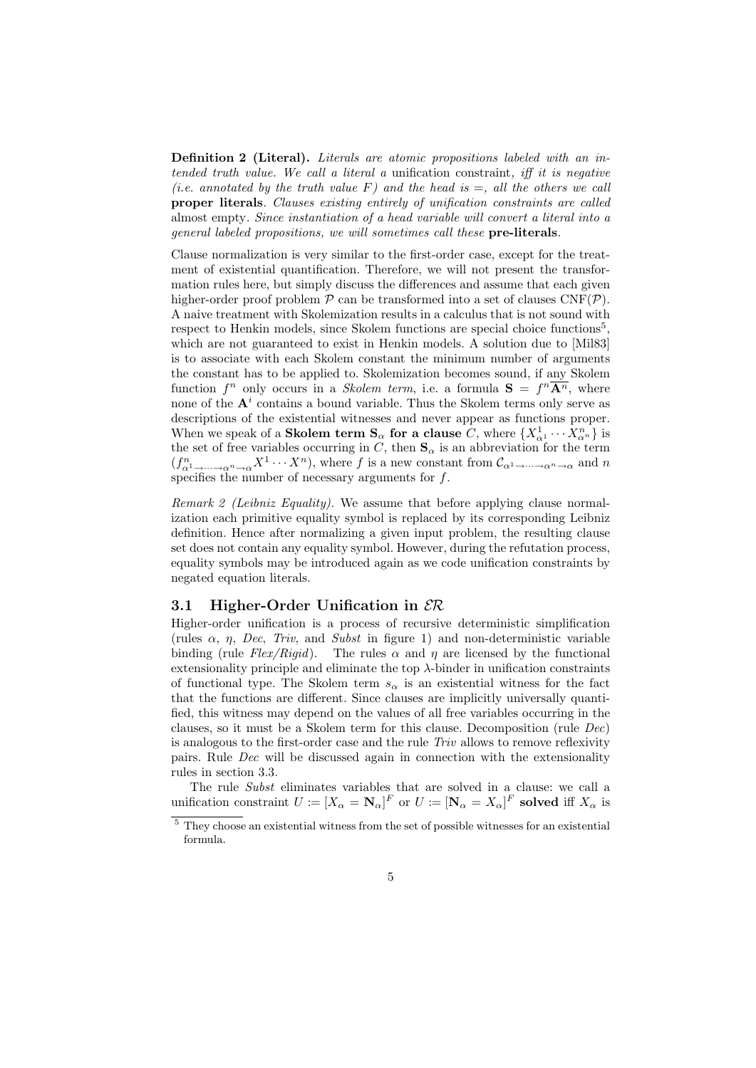Definition 2 (Literal). Literals are atomic propositions labeled with an intended truth value. We call a literal a unification constraint, iff it is negative (*i.e. annotated by the truth value F*) and the head is  $=$ , all the others we call proper literals. Clauses existing entirely of unification constraints are called almost empty. Since instantiation of a head variable will convert a literal into a general labeled propositions, we will sometimes call these pre-literals.

Clause normalization is very similar to the first-order case, except for the treatment of existential quantification. Therefore, we will not present the transformation rules here, but simply discuss the differences and assume that each given higher-order proof problem  $P$  can be transformed into a set of clauses  $CNF(P)$ . A naive treatment with Skolemization results in a calculus that is not sound with respect to Henkin models, since Skolem functions are special choice functions<sup>5</sup>, which are not guaranteed to exist in Henkin models. A solution due to [Mil83] is to associate with each Skolem constant the minimum number of arguments the constant has to be applied to. Skolemization becomes sound, if any Skolem function  $f^n$  only occurs in a *Skolem term*, i.e. a formula  $S = f^n \overline{A^n}$ , where none of the  $A^i$  contains a bound variable. Thus the Skolem terms only serve as descriptions of the existential witnesses and never appear as functions proper. When we speak of a **Skolem term S<sub>α</sub> for a clause** C, where  $\{X_{\alpha^1}^1 \cdots X_{\alpha^n}^n\}$  is the set of free variables occurring in C, then  $S_{\alpha}$  is an abbreviation for the term  $(f_{\alpha^1\to\cdots\to\alpha^n\to\alpha}^n X^1\cdots X^n)$ , where f is a new constant from  $\mathcal{C}_{\alpha^1\to\cdots\to\alpha^n\to\alpha}$  and n specifies the number of necessary arguments for  $f$ .

Remark 2 (Leibniz Equality). We assume that before applying clause normalization each primitive equality symbol is replaced by its corresponding Leibniz definition. Hence after normalizing a given input problem, the resulting clause set does not contain any equality symbol. However, during the refutation process, equality symbols may be introduced again as we code unification constraints by negated equation literals.

#### 3.1 Higher-Order Unification in  $\mathcal{ER}$

Higher-order unification is a process of recursive deterministic simplification (rules  $\alpha$ ,  $\eta$ , *Dec*, *Triv*, and *Subst* in figure 1) and non-deterministic variable binding (rule  $Flex/Rigid$ ). The rules  $\alpha$  and  $\eta$  are licensed by the functional extensionality principle and eliminate the top  $\lambda$ -binder in unification constraints of functional type. The Skolem term  $s_{\alpha}$  is an existential witness for the fact that the functions are different. Since clauses are implicitly universally quantified, this witness may depend on the values of all free variables occurring in the clauses, so it must be a Skolem term for this clause. Decomposition (rule Dec) is analogous to the first-order case and the rule Triv allows to remove reflexivity pairs. Rule Dec will be discussed again in connection with the extensionality rules in section 3.3.

The rule Subst eliminates variables that are solved in a clause: we call a unification constraint  $U := [X_\alpha = \mathbf{N}_\alpha]^F$  or  $U := [\mathbf{N}_\alpha = X_\alpha]^F$  solved iff  $X_\alpha$  is

<sup>5</sup> They choose an existential witness from the set of possible witnesses for an existential formula.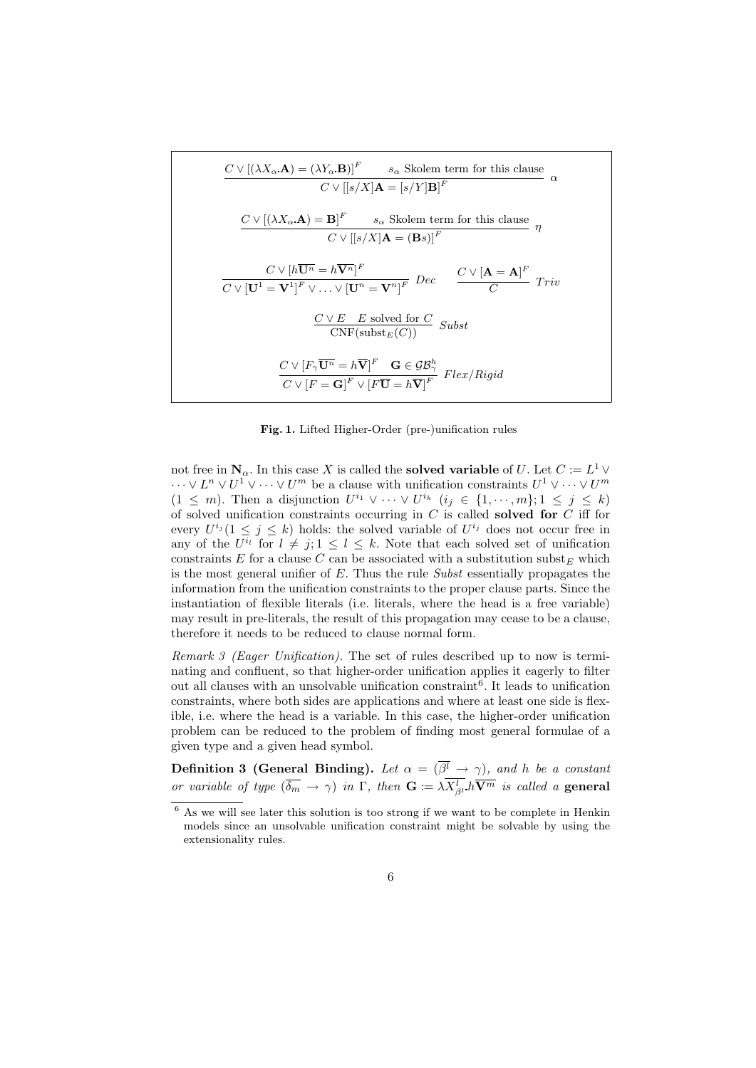$$
C \vee [(\lambda X_{\alpha} \mathbf{A}) = (\lambda Y_{\alpha} \mathbf{B})]^F \qquad s_{\alpha} \text{ Skolem term for this clause}
$$
  

$$
C \vee [[s/X] \mathbf{A} = [s/Y] \mathbf{B}]^F
$$

$$
\frac{C \vee [(\lambda X_{\alpha} \mathbf{A}) = \mathbf{B}]^F \qquad s_{\alpha} \text{ Skolem term for this clause}}{C \vee [[s/X] \mathbf{A} = (\mathbf{B}s)]^F} \qquad \eta
$$

$$
\frac{C \vee [h\overline{\mathbf{U}^n} = h\overline{\mathbf{V}^n}]^F}{C \vee [\mathbf{U}^1 = \mathbf{V}^1]^F \vee \dots \vee [\mathbf{U}^n = \mathbf{V}^n]^F} \text{ Dec}
$$

$$
\frac{C \vee E \quad E \text{ solved for } C}{C \text{NF}(\text{subst}(C))} \text{Subst}
$$

$$
\frac{C \vee [F_{\gamma} \overline{\mathbf{U}^n} = h\overline{\mathbf{V}}]^F \quad \mathbf{G} \in \mathcal{GB}^h_{\gamma}}{C \vee [F = \mathbf{G}]^F \vee [F\overline{\mathbf{U}} = h\overline{\mathbf{V}}]^F} \text{ Flex/Rigid}
$$

Fig. 1. Lifted Higher-Order (pre-)unification rules

not free in  $\mathbf{N}_{\alpha}$ . In this case X is called the **solved variable** of U. Let  $C := L^1 \vee$  $\cdots \vee L^n \vee U^1 \vee \cdots \vee U^m$  be a clause with unification constraints  $U^1 \vee \cdots \vee U^m$  $(1 \leq m)$ . Then a disjunction  $U^{i_1} \vee \cdots \vee U^{i_k}$   $(i_j \in \{1, \dots, m\}; 1 \leq j \leq k)$ of solved unification constraints occurring in  $C$  is called solved for  $C$  iff for every  $U^{i_j}$  ( $1 \leq j \leq k$ ) holds: the solved variable of  $U^{i_j}$  does not occur free in any of the  $U^{i_l}$  for  $l \neq j; 1 \leq l \leq k$ . Note that each solved set of unification constraints E for a clause C can be associated with a substitution subst<sub>E</sub> which is the most general unifier of  $E$ . Thus the rule Subst essentially propagates the information from the unification constraints to the proper clause parts. Since the instantiation of flexible literals (i.e. literals, where the head is a free variable) may result in pre-literals, the result of this propagation may cease to be a clause, therefore it needs to be reduced to clause normal form.

Remark 3 (Eager Unification). The set of rules described up to now is terminating and confluent, so that higher-order unification applies it eagerly to filter out all clauses with an unsolvable unification constraint<sup>6</sup>. It leads to unification constraints, where both sides are applications and where at least one side is flexible, i.e. where the head is a variable. In this case, the higher-order unification problem can be reduced to the problem of finding most general formulae of a given type and a given head symbol.

**Definition 3 (General Binding).** Let  $\alpha = (\beta^l \rightarrow \gamma)$ , and h be a constant or variable of type  $(\overline{\delta_m} \to \gamma)$  in  $\Gamma$ , then  $\mathbf{G} := \lambda X_{\beta}^l h \overline{\mathbf{V}^m}$  is called a general

 $6$  As we will see later this solution is too strong if we want to be complete in Henkin models since an unsolvable unification constraint might be solvable by using the extensionality rules.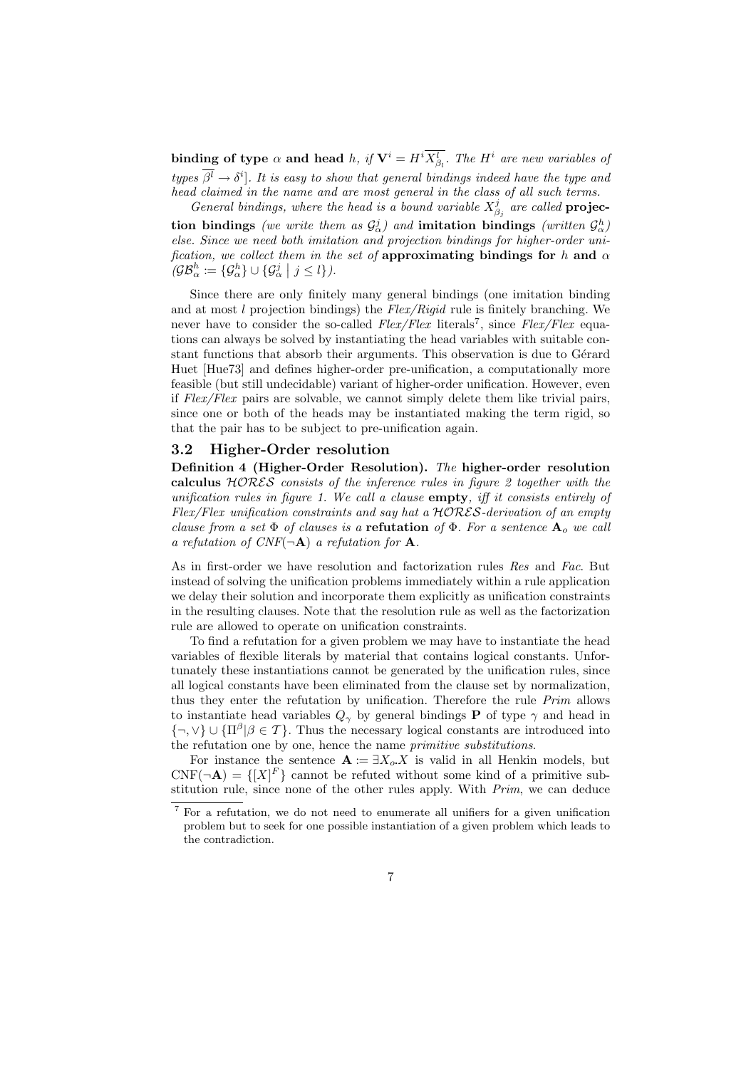binding of type  $\alpha$  and head h, if  $V^i = H^i X_{\beta_l}^l$ . The  $H^i$  are new variables of types  $\overline{\beta^l} \to \delta^i$ . It is easy to show that general bindings indeed have the type and head claimed in the name and are most general in the class of all such terms.

General bindings, where the head is a bound variable  $X_{\beta_j}^j$  are called **projec**tion bindings (we write them as  $\mathcal{G}^j_\alpha$ ) and imitation bindings (written  $\mathcal{G}^h_\alpha$ ) else. Since we need both imitation and projection bindings for higher-order unification, we collect them in the set of approximating bindings for h and  $\alpha$  $(\mathcal{GB}_{\alpha}^{h} := \{\mathcal{G}_{\alpha}^{h}\}\cup \{\mathcal{G}_{\alpha}^{j} | j \leq l\}).$ 

Since there are only finitely many general bindings (one imitation binding and at most l projection bindings) the  $Flex/Rigid$  rule is finitely branching. We never have to consider the so-called  $Flex/Flex$  literals<sup>7</sup>, since  $Flex/Flex$  equations can always be solved by instantiating the head variables with suitable constant functions that absorb their arguments. This observation is due to Gérard Huet [Hue73] and defines higher-order pre-unification, a computationally more feasible (but still undecidable) variant of higher-order unification. However, even if  $Flex/Flex$  pairs are solvable, we cannot simply delete them like trivial pairs, since one or both of the heads may be instantiated making the term rigid, so that the pair has to be subject to pre-unification again.

#### 3.2 Higher-Order resolution

Definition 4 (Higher-Order Resolution). The higher-order resolution calculus  $HORES$  consists of the inference rules in figure 2 together with the unification rules in figure 1. We call a clause empty, iff it consists entirely of  $Flex/Flex$  unification constraints and say hat a  $HORES$ -derivation of an empty clause from a set  $\Phi$  of clauses is a **refutation** of  $\Phi$ . For a sentence  $A_o$  we call a refutation of  $CNF(\neg A)$  a refutation for A.

As in first-order we have resolution and factorization rules Res and Fac. But instead of solving the unification problems immediately within a rule application we delay their solution and incorporate them explicitly as unification constraints in the resulting clauses. Note that the resolution rule as well as the factorization rule are allowed to operate on unification constraints.

To find a refutation for a given problem we may have to instantiate the head variables of flexible literals by material that contains logical constants. Unfortunately these instantiations cannot be generated by the unification rules, since all logical constants have been eliminated from the clause set by normalization, thus they enter the refutation by unification. Therefore the rule Prim allows to instantiate head variables  $Q_{\gamma}$  by general bindings **P** of type  $\gamma$  and head in  $\{\neg, \vee\} \cup \{\Pi^{\beta} | \beta \in \mathcal{T}\}.$  Thus the necessary logical constants are introduced into the refutation one by one, hence the name primitive substitutions.

For instance the sentence  $\mathbf{A} := \exists X_o X$  is valid in all Henkin models, but  $CNF(\neg A) = \{[X]^F\}$  cannot be refuted without some kind of a primitive substitution rule, since none of the other rules apply. With Prim, we can deduce

<sup>7</sup> For a refutation, we do not need to enumerate all unifiers for a given unification problem but to seek for one possible instantiation of a given problem which leads to the contradiction.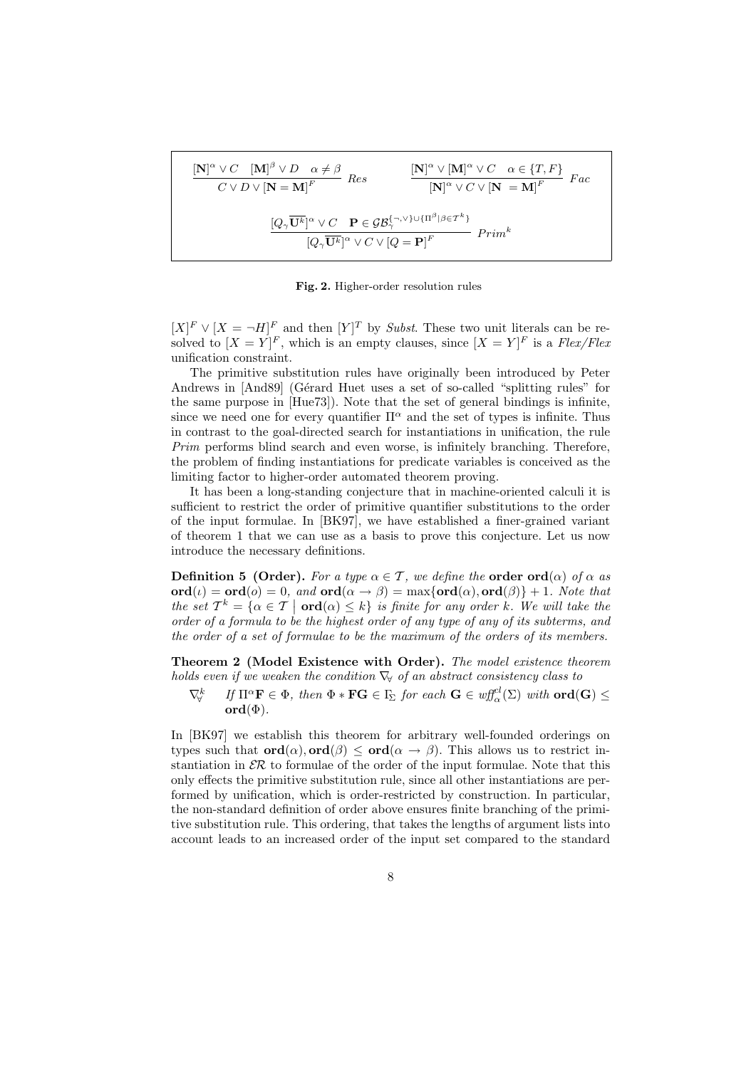$$
\frac{[\mathbf{N}]^{\alpha} \vee C \quad [\mathbf{M}]^{\beta} \vee D \quad \alpha \neq \beta}{C \vee D \vee [\mathbf{N} = \mathbf{M}]^F} \quad Res \qquad \frac{[\mathbf{N}]^{\alpha} \vee [\mathbf{M}]^{\alpha} \vee C \quad \alpha \in \{T, F\}}{[\mathbf{N}]^{\alpha} \vee C \vee [\mathbf{N} = \mathbf{M}]^F} \quad Fac
$$

$$
\frac{[Q_{\gamma} \overline{\mathbf{U}^k}]^{\alpha} \vee C \quad \mathbf{P} \in \mathcal{GB}_{\gamma}^{\{\neg,\vee\}\cup\{\Pi^{\beta}\} \beta \in \mathcal{T}^k\}}{[Q_{\gamma} \overline{\mathbf{U}^k}]^{\alpha} \vee C \vee [Q = \mathbf{P}]^F} \quad Prim^k
$$

Fig. 2. Higher-order resolution rules

 $[X]^F \vee [X = \neg H]^F$  and then  $[Y]^T$  by Subst. These two unit literals can be resolved to  $[X = Y]^F$ , which is an empty clauses, since  $[X = Y]^F$  is a Flex/Flex unification constraint.

The primitive substitution rules have originally been introduced by Peter Andrews in [And89] (Gérard Huet uses a set of so-called "splitting rules" for the same purpose in [Hue73]). Note that the set of general bindings is infinite, since we need one for every quantifier  $\Pi^{\alpha}$  and the set of types is infinite. Thus in contrast to the goal-directed search for instantiations in unification, the rule Prim performs blind search and even worse, is infinitely branching. Therefore, the problem of finding instantiations for predicate variables is conceived as the limiting factor to higher-order automated theorem proving.

It has been a long-standing conjecture that in machine-oriented calculi it is sufficient to restrict the order of primitive quantifier substitutions to the order of the input formulae. In [BK97], we have established a finer-grained variant of theorem 1 that we can use as a basis to prove this conjecture. Let us now introduce the necessary definitions.

**Definition 5 (Order).** For a type  $\alpha \in \mathcal{T}$ , we define the **order ord** $(\alpha)$  of  $\alpha$  as  $\textbf{ord}(\iota) = \textbf{ord}(o) = 0$ , and  $\textbf{ord}(\alpha \to \beta) = \max{\lbrace \textbf{ord}(\alpha), \textbf{ord}(\beta) \rbrace + 1}$ . Note that the set  $T^k = {\alpha \in T \mid \textbf{ord}(\alpha) \leq k}$  is finite for any order k. We will take the order of a formula to be the highest order of any type of any of its subterms, and the order of a set of formulae to be the maximum of the orders of its members.

Theorem 2 (Model Existence with Order). The model existence theorem holds even if we weaken the condition  $\nabla$  of an abstract consistency class to

 $\nabla^k_{\!\forall}$ If  $\Pi^{\alpha} \mathbf{F} \in \Phi$ , then  $\Phi * \mathbf{FG} \in \Gamma_{\!\Sigma}$  for each  $\mathbf{G} \in \mathit{wf}_{\alpha}^{cl}(\Sigma)$  with  $\mathbf{ord}(\mathbf{G}) \leq$  $\mathrm{ord}(\Phi).$ 

In [BK97] we establish this theorem for arbitrary well-founded orderings on types such that  $\text{ord}(\alpha)$ ,  $\text{ord}(\beta) \leq \text{ord}(\alpha \rightarrow \beta)$ . This allows us to restrict instantiation in  $\mathcal{ER}$  to formulae of the order of the input formulae. Note that this only effects the primitive substitution rule, since all other instantiations are performed by unification, which is order-restricted by construction. In particular, the non-standard definition of order above ensures finite branching of the primitive substitution rule. This ordering, that takes the lengths of argument lists into account leads to an increased order of the input set compared to the standard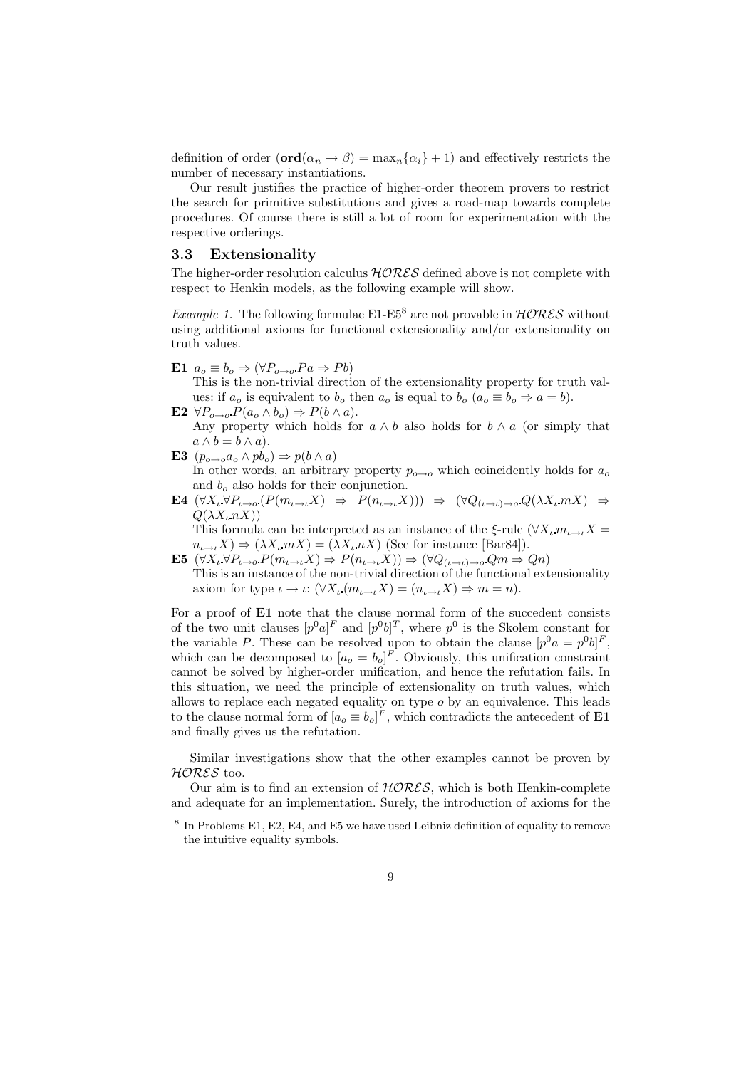definition of order  $(\text{ord}(\overline{\alpha_n} \to \beta) = \max_n {\alpha_i} + 1)$  and effectively restricts the number of necessary instantiations.

Our result justifies the practice of higher-order theorem provers to restrict the search for primitive substitutions and gives a road-map towards complete procedures. Of course there is still a lot of room for experimentation with the respective orderings.

#### 3.3 Extensionality

The higher-order resolution calculus  $HORES$  defined above is not complete with respect to Henkin models, as the following example will show.

*Example 1.* The following formulae E1-E5<sup>8</sup> are not provable in  $HORES$  without using additional axioms for functional extensionality and/or extensionality on truth values.

E1  $a_o \equiv b_o \Rightarrow (\forall P_{o \rightarrow o} Pa \Rightarrow Pb)$ 

This is the non-trivial direction of the extensionality property for truth values: if  $a_0$  is equivalent to  $b_0$  then  $a_0$  is equal to  $b_0$   $(a_0 \equiv b_0 \Rightarrow a = b)$ .

E2  $\forall P_{\alpha \to \alpha} P(a_{\alpha} \wedge b_{\alpha}) \Rightarrow P(b \wedge a).$ 

Any property which holds for  $a \wedge b$  also holds for  $b \wedge a$  (or simply that  $a \wedge b = b \wedge a$ .

E3  $(p_{o\rightarrow o}a_o \wedge pb_o) \Rightarrow p(b \wedge a)$ 

In other words, an arbitrary property  $p_{o\rightarrow o}$  which coincidently holds for  $a_o$ and  $b<sub>o</sub>$  also holds for their conjunction.

 $E4 \; (\forall X_i \forall P_{\iota \to o} (P(m_{\iota \to \iota} X) \Rightarrow P(n_{\iota \to \iota} X))) \; \Rightarrow \; (\forall Q_{(\iota \to \iota) \to o} Q(\lambda X_{\iota} m X) \; \Rightarrow$  $Q(\lambda X_i nX)$ 

This formula can be interpreted as an instance of the  $\xi$ -rule  $(\forall X_i \cdot m_{i \to i} X =$  $n_{\iota\rightarrow\iota}X$ )  $\Rightarrow$   $(\lambda X_{\iota}mX) = (\lambda X_{\iota}nX)$  (See for instance [Bar84]).

E5  $(\forall X_l \forall P_{l\rightarrow o} P(m_{l\rightarrow l} X) \Rightarrow P(n_{l\rightarrow l} X)) \Rightarrow (\forall Q_{(l\rightarrow l)\rightarrow o} Qm \Rightarrow Qn)$ This is an instance of the non-trivial direction of the functional extensionality axiom for type  $\iota \to \iota: (\forall X_{\iota}(m_{\iota \to \iota} X) = (n_{\iota \to \iota} X) \Rightarrow m = n).$ 

For a proof of **E1** note that the clause normal form of the succedent consists of the two unit clauses  $[p^0 a]^F$  and  $[p^0 b]^T$ , where  $p^0$  is the Skolem constant for the variable P. These can be resolved upon to obtain the clause  $[p^0 a = p^0 b]^F$ , which can be decomposed to  $[a_o = b_o]^F$ . Obviously, this unification constraint cannot be solved by higher-order unification, and hence the refutation fails. In this situation, we need the principle of extensionality on truth values, which allows to replace each negated equality on type  $o$  by an equivalence. This leads to the clause normal form of  $[a_o \equiv b_o]^F$ , which contradicts the antecedent of **E1** and finally gives us the refutation.

Similar investigations show that the other examples cannot be proven by HORES too.

Our aim is to find an extension of  $HORES$ , which is both Henkin-complete and adequate for an implementation. Surely, the introduction of axioms for the

<sup>&</sup>lt;sup>8</sup> In Problems E1, E2, E4, and E5 we have used Leibniz definition of equality to remove the intuitive equality symbols.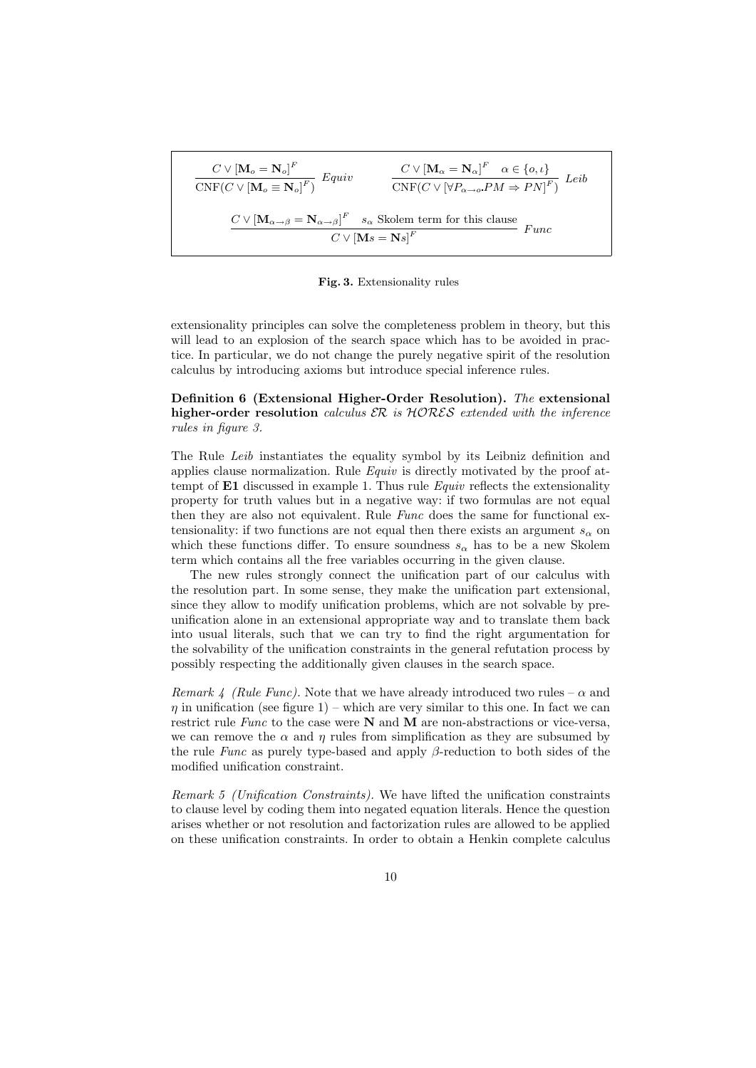$$
\frac{C \vee [\mathbf{M}_o = \mathbf{N}_o]^F}{\text{CNF}(C \vee [\mathbf{M}_o \equiv \mathbf{N}_o]^F)} \quad \text{Equiv} \qquad \frac{C \vee [\mathbf{M}_\alpha = \mathbf{N}_\alpha]^F \quad \alpha \in \{o, \iota\}}{\text{CNF}(C \vee [\forall P_{\alpha \to o}.PM \Rightarrow PN]^F)} \quad \text{Leib}
$$
\n
$$
\frac{C \vee [\mathbf{M}_{\alpha \to \beta} = \mathbf{N}_{\alpha \to \beta}]^F \quad s_\alpha \text{ Skolem term for this clause}}{C \vee [\mathbf{M}_s = \mathbf{N}_s]^F} \quad \text{Func}
$$

Fig. 3. Extensionality rules

extensionality principles can solve the completeness problem in theory, but this will lead to an explosion of the search space which has to be avoided in practice. In particular, we do not change the purely negative spirit of the resolution calculus by introducing axioms but introduce special inference rules.

Definition 6 (Extensional Higher-Order Resolution). The extensional higher-order resolution calculus  $\mathcal{ER}$  is  $\mathcal{H}ORES$  extended with the inference rules in figure 3.

The Rule Leib instantiates the equality symbol by its Leibniz definition and applies clause normalization. Rule Equiv is directly motivated by the proof attempt of  $E1$  discussed in example 1. Thus rule  $Equiv$  reflects the extensionality property for truth values but in a negative way: if two formulas are not equal then they are also not equivalent. Rule Func does the same for functional extensionality: if two functions are not equal then there exists an argument  $s_{\alpha}$  on which these functions differ. To ensure soundness  $s_{\alpha}$  has to be a new Skolem term which contains all the free variables occurring in the given clause.

The new rules strongly connect the unification part of our calculus with the resolution part. In some sense, they make the unification part extensional, since they allow to modify unification problems, which are not solvable by preunification alone in an extensional appropriate way and to translate them back into usual literals, such that we can try to find the right argumentation for the solvability of the unification constraints in the general refutation process by possibly respecting the additionally given clauses in the search space.

Remark 4 (Rule Func). Note that we have already introduced two rules –  $\alpha$  and  $\eta$  in unification (see figure 1) – which are very similar to this one. In fact we can restrict rule Func to the case were  $N$  and  $M$  are non-abstractions or vice-versa, we can remove the  $\alpha$  and  $\eta$  rules from simplification as they are subsumed by the rule Func as purely type-based and apply  $\beta$ -reduction to both sides of the modified unification constraint.

Remark 5 (Unification Constraints). We have lifted the unification constraints to clause level by coding them into negated equation literals. Hence the question arises whether or not resolution and factorization rules are allowed to be applied on these unification constraints. In order to obtain a Henkin complete calculus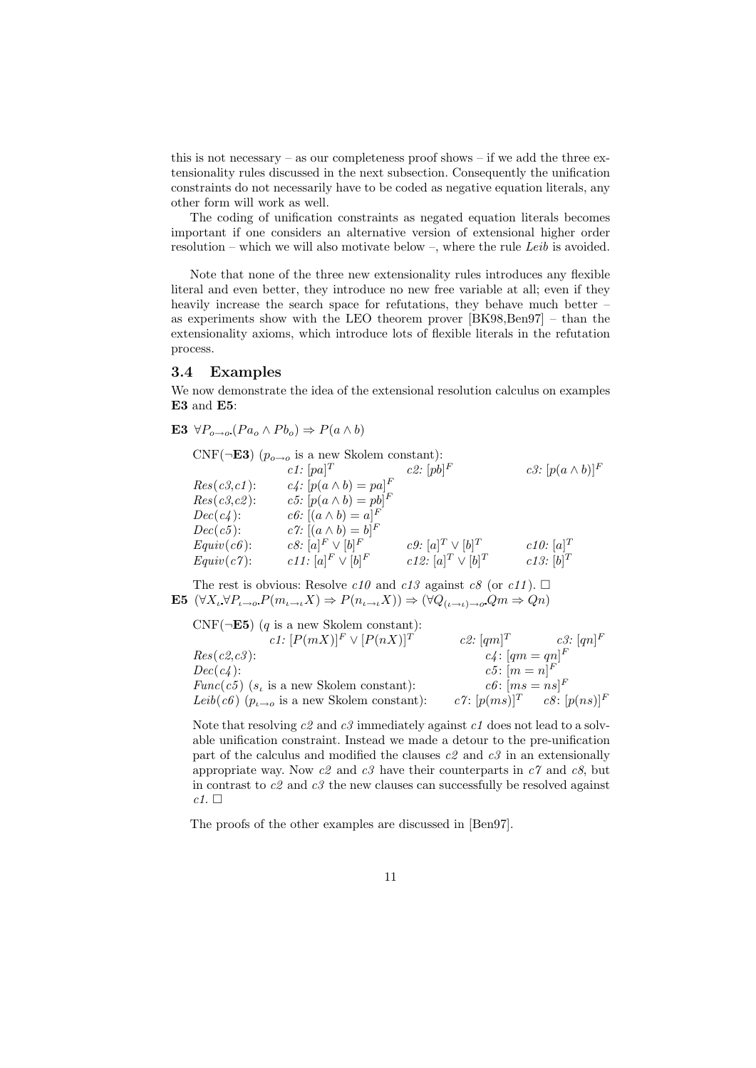this is not necessary – as our completeness proof shows – if we add the three extensionality rules discussed in the next subsection. Consequently the unification constraints do not necessarily have to be coded as negative equation literals, any other form will work as well.

The coding of unification constraints as negated equation literals becomes important if one considers an alternative version of extensional higher order resolution – which we will also motivate below –, where the rule Leib is avoided.

Note that none of the three new extensionality rules introduces any flexible literal and even better, they introduce no new free variable at all; even if they heavily increase the search space for refutations, they behave much better – as experiments show with the LEO theorem prover [BK98,Ben97] – than the extensionality axioms, which introduce lots of flexible literals in the refutation process.

### 3.4 Examples

We now demonstrate the idea of the extensional resolution calculus on examples E3 and E5:

E3  $\forall P_{o\rightarrow o}$   $(Pa_o \land Pb_o) \Rightarrow P(a \land b)$ 

|                 | $CNF(\neg E3)$ ( $p_{o\rightarrow o}$ is a new Skolem constant): |                                 |                         |
|-----------------|------------------------------------------------------------------|---------------------------------|-------------------------|
|                 | $c1: [pa]^T$                                                     | $c2: [pb]^F$                    | c3: $[p(a \wedge b)]^F$ |
| $Res(c3, c1)$ : | $c_4$ : $[p(a \wedge b) = pa]^F$                                 |                                 |                         |
| Res(c3,c2):     | c5: $[p(a \wedge b) = pb]^F$                                     |                                 |                         |
| $Dec(c_4)$ :    | $c6: [(a \wedge b) = a]^F$                                       |                                 |                         |
| $Dec(c5)$ :     | c7: $[(a \wedge b) = b]^F$                                       |                                 |                         |
| $Equiv(c6)$ :   | c8: $[a]^F \vee [b]^F$                                           | $c9: [a]^T \vee [b]^T$          | $c10: [a]^T$            |
| $Equiv(c7)$ :   | $c11: [a]^F \vee [b]^F$                                          | <i>c12</i> : $[a]^T \vee [b]^T$ | $c13: [b]^T$            |

The rest is obvious: Resolve  $c10$  and  $c13$  against  $c8$  (or  $c11$ ).  $\Box$ E5  $(\forall X_{\iota} \forall P_{\iota \to o} P(m_{\iota \to \iota} X) \Rightarrow P(n_{\iota \to \iota} X)) \Rightarrow (\forall Q_{(\iota \to \iota) \to o} Qm \Rightarrow Qn)$ 

$$
\begin{array}{ll}\n\text{CNF}(\neg \mathbf{E5}) \ (q \text{ is a new Skolem constant}); \\
& c1: [P(mX)]^F \lor [P(nX)]^T & c2: [qm]^T & c3: [qn]^F \\
\text{Res}(c2, c3): & c4: [qm = qn]^F \\
\text{P}(\text{c}c4): & c5: [m = n]^F \\
\text{Func}(c5) \ (s_t \text{ is a new Skolem constant}); & c6: [ms = ns]^F \\
\text{Leib}(c6) \ (p_{t \to o} \text{ is a new Skolem constant}); & c7: [p(ms)]^T & c8: [p(ns)]^F\n\end{array}
$$

Note that resolving  $c\hat{z}$  and  $c\hat{z}$  immediately against  $c\hat{z}$  does not lead to a solvable unification constraint. Instead we made a detour to the pre-unification part of the calculus and modified the clauses  $c\mathcal{Z}$  and  $c\mathcal{Z}$  in an extensionally appropriate way. Now  $c\ell$  and  $c\ell$  have their counterparts in  $c\ell$  and  $c\ell$ , but in contrast to  $c2$  and  $c3$  the new clauses can successfully be resolved against  $c1.$ 

The proofs of the other examples are discussed in [Ben97].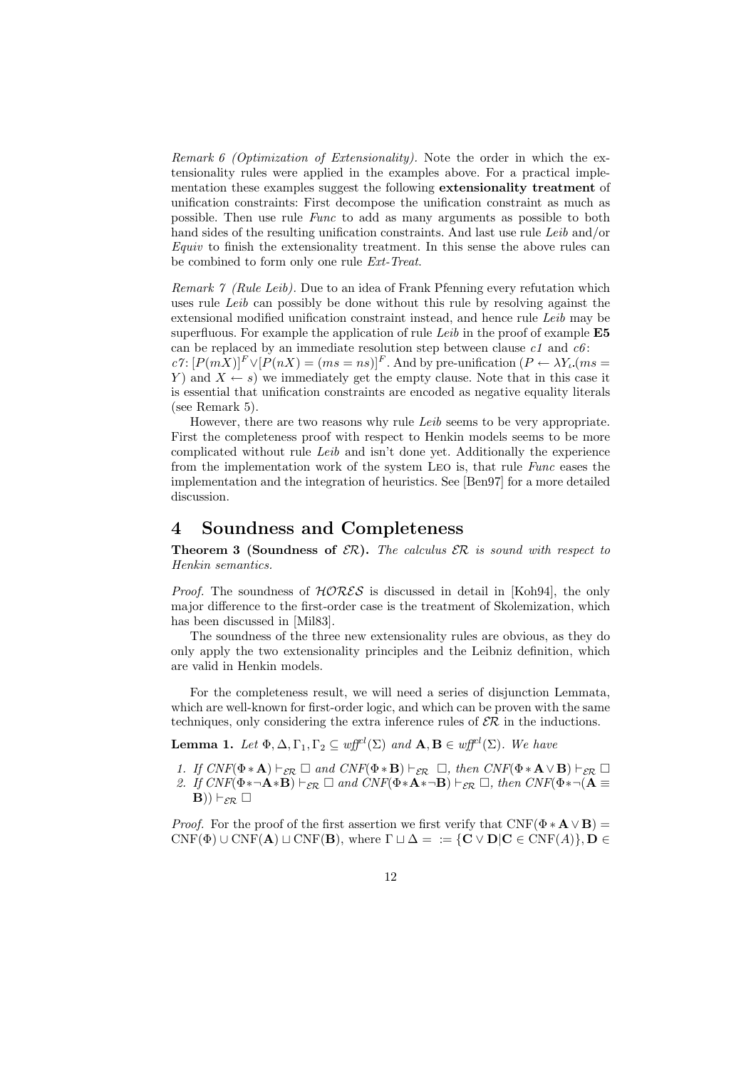Remark 6 (Optimization of Extensionality). Note the order in which the extensionality rules were applied in the examples above. For a practical implementation these examples suggest the following extensionality treatment of unification constraints: First decompose the unification constraint as much as possible. Then use rule Func to add as many arguments as possible to both hand sides of the resulting unification constraints. And last use rule Leib and/or  $Equiv$  to finish the extensionality treatment. In this sense the above rules can be combined to form only one rule Ext-Treat.

Remark 7 (Rule Leib). Due to an idea of Frank Pfenning every refutation which uses rule Leib can possibly be done without this rule by resolving against the extensional modified unification constraint instead, and hence rule Leib may be superfluous. For example the application of rule Leib in the proof of example  $E5$ can be replaced by an immediate resolution step between clause  $c1$  and  $c6$ :  $c7: [P(mX)]^F \vee [P(nX) = (ms = ns)]^F$ . And by pre-unification  $(P \leftarrow \lambda Y_i$  (ms = Y) and  $X \leftarrow s$ ) we immediately get the empty clause. Note that in this case it is essential that unification constraints are encoded as negative equality literals

(see Remark 5).

However, there are two reasons why rule Leib seems to be very appropriate. First the completeness proof with respect to Henkin models seems to be more complicated without rule Leib and isn't done yet. Additionally the experience from the implementation work of the system Leo is, that rule Func eases the implementation and the integration of heuristics. See [Ben97] for a more detailed discussion.

### 4 Soundness and Completeness

**Theorem 3 (Soundness of**  $\mathcal{ER}$ **).** The calculus  $\mathcal{ER}$  is sound with respect to Henkin semantics.

*Proof.* The soundness of  $HORES$  is discussed in detail in [Koh94], the only major difference to the first-order case is the treatment of Skolemization, which has been discussed in [Mil83].

The soundness of the three new extensionality rules are obvious, as they do only apply the two extensionality principles and the Leibniz definition, which are valid in Henkin models.

For the completeness result, we will need a series of disjunction Lemmata, which are well-known for first-order logic, and which can be proven with the same techniques, only considering the extra inference rules of  $\mathcal{ER}$  in the inductions.

**Lemma 1.** Let  $\Phi$ ,  $\Delta$ ,  $\Gamma_1$ ,  $\Gamma_2 \subseteq \text{wff}^{cl}(\Sigma)$  and  $\mathbf{A}$ ,  $\mathbf{B} \in \text{wff}^{cl}(\Sigma)$ . We have

1. If  $CNF(\Phi \ast A) \vdash_{\mathcal{ER}} \Box$  and  $CNF(\Phi \ast B) \vdash_{\mathcal{ER}} \Box$ , then  $CNF(\Phi \ast A \vee B) \vdash_{\mathcal{ER}} \Box$ 2. If  $CNF(\Phi \ast \neg \mathbf{A} * \mathbf{B}) \vdash_{\mathcal{ER}} \Box$  and  $CNF(\Phi \ast \mathbf{A} * \neg \mathbf{B}) \vdash_{\mathcal{ER}} \Box$ , then  $CNF(\Phi \ast \neg (\mathbf{A} \equiv \mathbf{A} \land \Box \mathbf{B}))$  $\mathbf{B})$ )  $\vdash_{\mathcal{ER}} \Box$ 

*Proof.* For the proof of the first assertion we first verify that  $CNF(\Phi * A \vee B) =$  $\text{CNF}(\Phi) \cup \text{CNF}(\mathbf{A}) \sqcup \text{CNF}(\mathbf{B}), \text{ where } \Gamma \sqcup \Delta = := \{ \mathbf{C} \vee \mathbf{D} | \mathbf{C} \in \text{CNF}(A) \}, \mathbf{D} \in$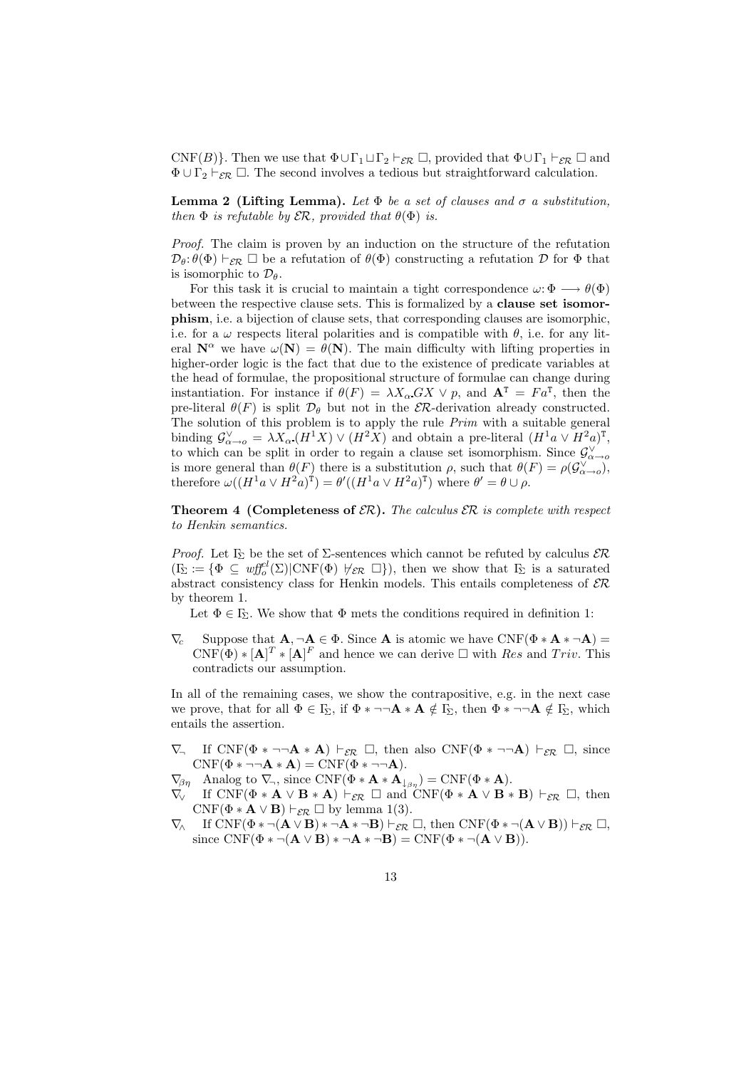CNF(B)}. Then we use that  $\Phi \cup \Gamma_1 \sqcup \Gamma_2 \vdash_{\mathcal{ER}} \square$ , provided that  $\Phi \cup \Gamma_1 \vdash_{\mathcal{ER}} \square$  and  $\Phi \cup \Gamma_2 \vdash_{\mathcal{ER}} \square$ . The second involves a tedious but straightforward calculation.

Lemma 2 (Lifting Lemma). Let  $\Phi$  be a set of clauses and  $\sigma$  a substitution, then  $\Phi$  is refutable by  $\mathcal{ER}$ , provided that  $\theta(\Phi)$  is.

Proof. The claim is proven by an induction on the structure of the refutation  $\mathcal{D}_{\theta}$ :  $\theta(\Phi) \vdash_{\mathcal{ER}} \Box$  be a refutation of  $\theta(\Phi)$  constructing a refutation D for  $\Phi$  that is isomorphic to  $\mathcal{D}_{\theta}$ .

For this task it is crucial to maintain a tight correspondence  $\omega: \Phi \longrightarrow \theta(\Phi)$ between the respective clause sets. This is formalized by a clause set isomorphism, i.e. a bijection of clause sets, that corresponding clauses are isomorphic, i.e. for a  $\omega$  respects literal polarities and is compatible with  $\theta$ , i.e. for any literal  $\mathbf{N}^{\alpha}$  we have  $\omega(\mathbf{N}) = \theta(\mathbf{N})$ . The main difficulty with lifting properties in higher-order logic is the fact that due to the existence of predicate variables at the head of formulae, the propositional structure of formulae can change during instantiation. For instance if  $\theta(F) = \lambda X_{\alpha} G X \vee p$ , and  $\mathbf{A}^{T} = F a^{T}$ , then the pre-literal  $\theta(F)$  is split  $\mathcal{D}_{\theta}$  but not in the  $\mathcal{ER}$ -derivation already constructed. The solution of this problem is to apply the rule Prim with a suitable general binding  $\mathcal{G}^{\vee}_{\alpha \to o} = \lambda X_{\alpha}(H^{1}X) \vee (H^{2}X)$  and obtain a pre-literal  $(H^{1}a \vee H^{2}a)^{T}$ , to which can be split in order to regain a clause set isomorphism. Since  $\mathcal{G}^\vee_{\alpha \to o}$ is more general than  $\theta(F)$  there is a substitution  $\rho$ , such that  $\theta(F) = \rho(\mathcal{G}_{\alpha \to o}^{\vee}),$ therefore  $\omega((H^1a \vee H^2a)^T) = \theta'((H^1a \vee H^2a)^T)$  where  $\theta' = \theta \cup \rho$ .

**Theorem 4 (Completeness of**  $\mathcal{ER}$ **).** The calculus  $\mathcal{ER}$  is complete with respect to Henkin semantics.

*Proof.* Let  $\Gamma_{\!\Sigma}$  be the set of  $\Sigma$ -sentences which cannot be refuted by calculus  $\mathcal{ER}$  $(\Gamma_{\!\Sigma} := {\{\Phi \subseteq \textit{wf}^{\textit{cl}}_{\sigma}(\Sigma)|\text{CNF}(\Phi) \not\vdash_{\mathcal{ER}} \square\}}),$  then we show that  $\Gamma_{\!\Sigma}$  is a saturated abstract consistency class for Henkin models. This entails completeness of  $\mathcal{ER}$ by theorem 1.

Let  $\Phi \in \Gamma_{\!\Sigma}$ . We show that  $\Phi$  mets the conditions required in definition 1:

 $\nabla_c$  Suppose that  $\mathbf{A}, \neg \mathbf{A} \in \Phi$ . Since  $\mathbf{A}$  is atomic we have CNF( $\Phi * \mathbf{A} * \neg \mathbf{A}$ ) =  $CNF(\Phi) * [\mathbf{A}]^T * [\mathbf{A}]^F$  and hence we can derive  $\square$  with Res and Triv. This contradicts our assumption.

In all of the remaining cases, we show the contrapositive, e.g. in the next case we prove, that for all  $\Phi \in \Gamma_{\!\Sigma}$ , if  $\Phi * \neg\neg \mathbf{A} * \mathbf{A} \notin \Gamma_{\!\Sigma}$ , then  $\Phi * \neg\neg \mathbf{A} * \Gamma_{\!\Sigma}$ , which entails the assertion.

 $\nabla$ , If CNF( $\Phi$  \* ¬¬ $\mathbf{A}$  \*  $\mathbf{A}$ )  $\vdash_{\mathcal{ER}} \Box$ , then also CNF( $\Phi$  \* ¬¬ $\mathbf{A}$ )  $\vdash_{\mathcal{ER}} \Box$ , since  $CNF(\Phi * \neg \neg \mathbf{A} * \mathbf{A}) = CNF(\Phi * \neg \neg \mathbf{A}).$ 

 $\nabla_{\beta\eta}$  Analog to  $\nabla_{\neg}$ , since CNF( $\Phi * A * A_{\downarrow_{\beta\eta}}$ ) = CNF( $\Phi * A$ ).

- $\nabla_{\mathbf{V}}$  If  $\text{CNF}(\Phi * \mathbf{A} \vee \mathbf{B} * \mathbf{A}) \vdash_{\mathcal{ER}} \Box$  and  $\text{CNF}(\Phi * \mathbf{A} \vee \mathbf{B} * \mathbf{B}) \vdash_{\mathcal{ER}} \Box$ , then  $CNF(\Phi \ast A \vee B) \vdash_{\mathcal{ER}} \Box$  by lemma 1(3).
- $\nabla_{\Lambda}$  If  $\text{CNF}(\Phi \ast \neg (\mathbf{A} \vee \mathbf{B}) \ast \neg \mathbf{A} \ast \neg \mathbf{B}) \vdash_{\mathcal{ER}} \Box$ , then  $\text{CNF}(\Phi \ast \neg (\mathbf{A} \vee \mathbf{B})) \vdash_{\mathcal{ER}} \Box$ , since  $CNF(\Phi * \neg (\mathbf{A} \vee \mathbf{B}) * \neg \mathbf{A} * \neg \mathbf{B}) = CNF(\Phi * \neg (\mathbf{A} \vee \mathbf{B})).$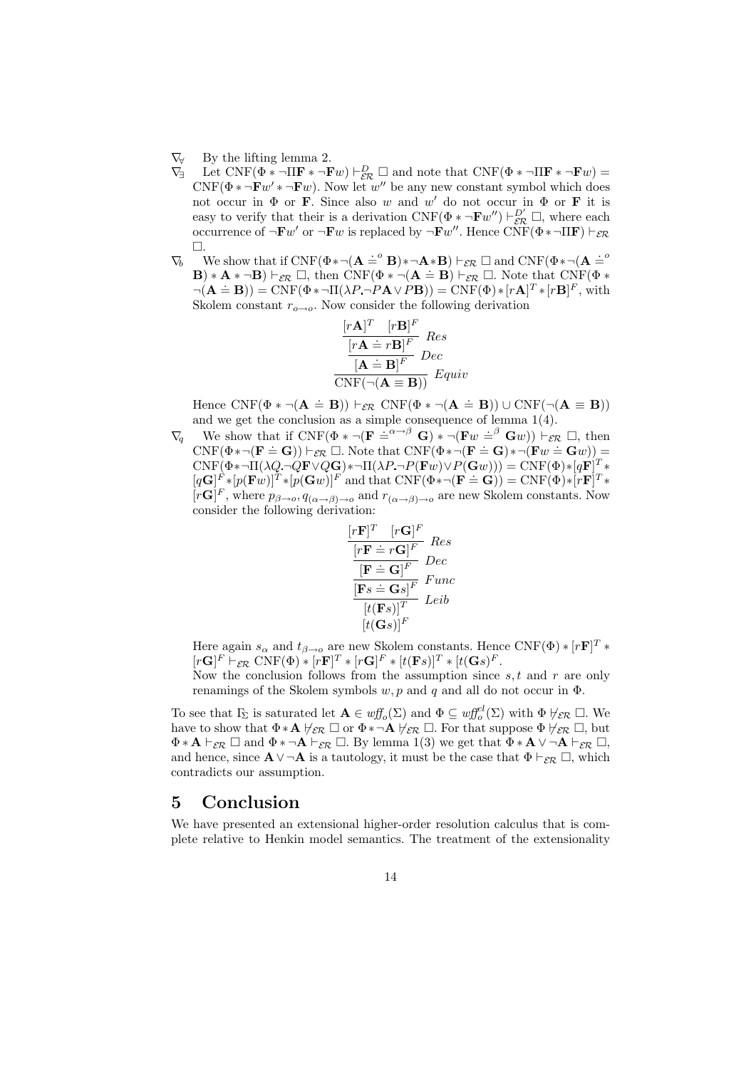- $\nabla$  By the lifting lemma 2.<br>  $\nabla$  Let CNF( $\Phi$  \*  $\neg$ IIF \*  $\neg$ F
- $\nabla_{\exists}$  Let  $\text{CNF}(\Phi \times \neg \Pi \mathbf{F} \times \neg \mathbf{F}w) \vdash_{\mathcal{ER}}^D \Box$  and note that  $\text{CNF}(\Phi \times \neg \Pi \mathbf{F} \times \neg \mathbf{F}w) =$  $CNF(\Phi * \neg Fw' * \neg Fw)$ . Now let w'' be any new constant symbol which does not occur in  $\Phi$  or **F**. Since also w and w' do not occur in  $\Phi$  or **F** it is easy to verify that their is a derivation  $\text{CNF}(\Phi * \neg \mathbf{F} w'') \vdash_{\mathcal{ER}}^{D'} \Box$ , where each occurrence of  $\neg \mathbf{F} w'$  or  $\neg \mathbf{F} w$  is replaced by  $\neg \mathbf{F} w''$ . Hence  $\text{CNF}(\Phi * \neg \Pi \mathbf{F}) \vdash_{\mathcal{ER}}$  $\Box.$
- $\nabla_b$  We show that if CNF( $\Phi$ \* $\neg (\mathbf{A} \doteq^{\circ} \mathbf{B})$ \* $\neg \mathbf{A}$ \* $\mathbf{B}) \vdash_{\mathcal{ER}} \Box$  and CNF( $\Phi$ \* $\neg (\mathbf{A} \doteq^{\circ} \mathbf{B})$  $\mathbf{B}$  \* A \* ¬B)  $\vdash_{\mathcal{ER}} \Box$ , then CNF( $\Phi$  \*  $\neg (\mathbf{A} = \mathbf{B}) \vdash_{\mathcal{ER}} \Box$ . Note that CNF( $\Phi$  \*  $\neg(\mathbf{A} \doteq \mathbf{B})) = \text{CNF}(\Phi * \neg \Pi(\lambda P \neg P\mathbf{A} \vee P\mathbf{B})) = \text{CNF}(\Phi) * [r\mathbf{A}]^T * [r\mathbf{B}]^F$ , with Skolem constant  $r_{\alpha\rightarrow\alpha}$ . Now consider the following derivation

$$
\frac{[r\mathbf{A}]^T \quad [r\mathbf{B}]^F}{[\mathbf{A} \doteq r\mathbf{B}]^F} Res
$$
\n
$$
\frac{[\mathbf{A} \doteq \mathbf{B}]^F}{(\mathbf{A} \doteq \mathbf{B})^F} Dec
$$
\n
$$
\frac{\mathbf{CNF}(\neg(\mathbf{A} \equiv \mathbf{B}))}{(\mathbf{A} \mathbf{B})^F} Equiv
$$

Hence  $CNF(\Phi * \neg (\mathbf{A} \doteq \mathbf{B})) \vdash_{\mathcal{ER}} CNF(\Phi * \neg (\mathbf{A} \doteq \mathbf{B})) \cup CNF(\neg (\mathbf{A} \equiv \mathbf{B}))$ and we get the conclusion as a simple consequence of lemma 1(4).

 $\nabla_q$  We show that if CNF( $\Phi * \neg (\mathbf{F} \doteq^{\alpha \rightarrow \beta} \mathbf{G}) * \neg (\mathbf{F} \psi \doteq^{\beta} \mathbf{G} \psi) \vdash_{\mathcal{ER}} \Box$ , then CNF( $\Phi$ \*¬( $\mathbf{F} \doteq \mathbf{G}$ ))  $\vdash_{\mathcal{ER}} \Box$ . Note that CNF( $\Phi$ \*¬( $\mathbf{F} \doteq \mathbf{G}$ )\*  $\neg(\mathbf{F} w \doteq \mathbf{G} w)$ ) =  $\text{CNF}(\Phi \ast \neg \Pi(\lambda Q \neg Q\mathbf{F} \lor Q\mathbf{G}) \ast \neg \Pi(\lambda P \neg P(\mathbf{F}w) \lor P(\mathbf{G}w))) = \text{CNF}(\Phi) \ast [q\mathbf{F}]^T \ast$  $[q\mathbf{G}]^F * [p(\mathbf{F}w)]^T * [p(\mathbf{G}w)]^F$  and that  $\text{CNF}(\Phi * \neg (\mathbf{F} \doteq \mathbf{G})) = \text{CNF}(\Phi) * [r\mathbf{F}]^T *$  $[rG]^F$ , where  $p_{\beta\to o}, q_{(\alpha\to\beta)\to o}$  and  $r_{(\alpha\to\beta)\to o}$  are new Skolem constants. Now consider the following derivation:

$$
\frac{[r\mathbf{F}]^T \quad [r\mathbf{G}]^F}{\frac{[\mathbf{rF} \doteq r\mathbf{G}]^F}{[\mathbf{F} \doteq \mathbf{G}]^F} \stackrel{Res}{Dec}}{\frac{[\mathbf{F} \doteq \mathbf{G}]^F}{[t(\mathbf{F}s)]^T} \stackrel{Func}{E} } \frac{[r\mathbf{F} \mathbf{F} \mathbf{F}]}{[t(\mathbf{G}s)]^F}
$$

Here again  $s_{\alpha}$  and  $t_{\beta\rightarrow o}$  are new Skolem constants. Hence CNF( $\Phi$ ) \*  $[r\mathbf{F}]^T$  \*  $[rG]^F \vdash_{\mathcal{ER}} \text{CNF}(\Phi) * [r\mathbf{F}]^T * [r\mathbf{G}]^F * [t(\mathbf{F}s)]^T * [t(\mathbf{G}s)^F]$ 

Now the conclusion follows from the assumption since  $s, t$  and  $r$  are only renamings of the Skolem symbols  $w, p$  and q and all do not occur in  $\Phi$ .

To see that  $\Gamma_{\!\Sigma}$  is saturated let  $\mathbf{A} \in \mathit{wff}_{o}(\Sigma)$  and  $\Phi \subseteq \mathit{wff}_{o}^{el}(\Sigma)$  with  $\Phi \not\models_{\mathcal{ER}} \Box$ . We have to show that  $\Phi$  \*  $\mathbf{A}$   $\nvdash_{\mathcal{ER}} \Box$  or  $\Phi$  \*  $\neg \mathbf{A}$   $\nvdash_{\mathcal{ER}} \Box$ . For that suppose  $\Phi$   $\nvdash_{\mathcal{ER}} \Box$ , but  $\Phi * A \vdash_{\mathcal{ER}} \Box$  and  $\Phi * \neg A \vdash_{\mathcal{ER}} \Box$ . By lemma 1(3) we get that  $\Phi * A \vee \neg A \vdash_{\mathcal{ER}} \Box$ . and hence, since  $\mathbf{A} \vee \neg \mathbf{A}$  is a tautology, it must be the case that  $\Phi \vdash_{\mathcal{ER}} \Box$ , which contradicts our assumption.

### 5 Conclusion

We have presented an extensional higher-order resolution calculus that is complete relative to Henkin model semantics. The treatment of the extensionality